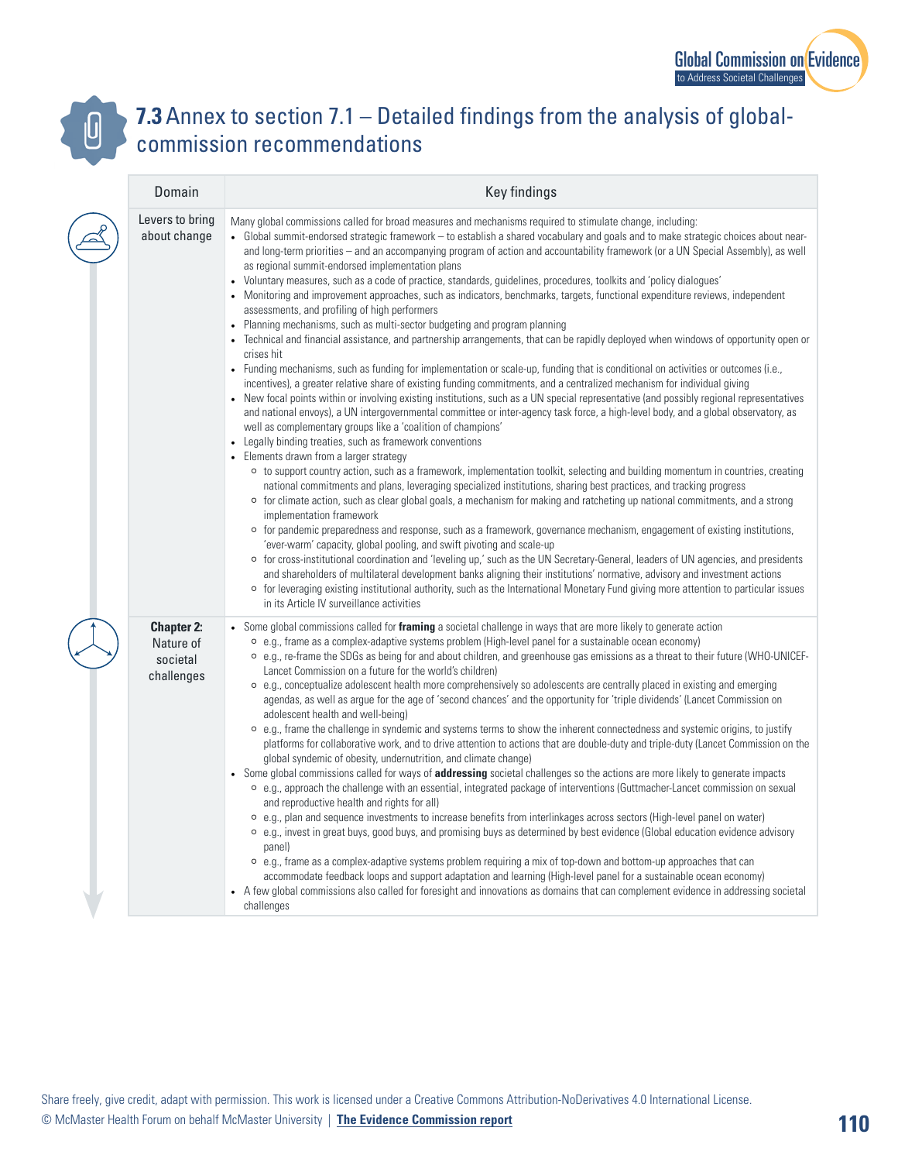



## **7.3** Annex to section 7.1 – Detailed findings from the analysis of globalcommission recommendations

| Domain                                                   | Key findings                                                                                                                                                                                                                                                                                                                                                                                                                                                                                                                                                                                                                                                                                                                                                                                                                                                                                                                                                                                                                                                                                                                                                                                                                                                                                                                                                                                                                                                                                                                                                                                                                                                                                                                                                                                                                                                                                                                                                                                                                                                                                                                                                                                                                                                                                                                                                                                                                                                                                                                                                                                                                                                                                                                                                                                          |
|----------------------------------------------------------|-------------------------------------------------------------------------------------------------------------------------------------------------------------------------------------------------------------------------------------------------------------------------------------------------------------------------------------------------------------------------------------------------------------------------------------------------------------------------------------------------------------------------------------------------------------------------------------------------------------------------------------------------------------------------------------------------------------------------------------------------------------------------------------------------------------------------------------------------------------------------------------------------------------------------------------------------------------------------------------------------------------------------------------------------------------------------------------------------------------------------------------------------------------------------------------------------------------------------------------------------------------------------------------------------------------------------------------------------------------------------------------------------------------------------------------------------------------------------------------------------------------------------------------------------------------------------------------------------------------------------------------------------------------------------------------------------------------------------------------------------------------------------------------------------------------------------------------------------------------------------------------------------------------------------------------------------------------------------------------------------------------------------------------------------------------------------------------------------------------------------------------------------------------------------------------------------------------------------------------------------------------------------------------------------------------------------------------------------------------------------------------------------------------------------------------------------------------------------------------------------------------------------------------------------------------------------------------------------------------------------------------------------------------------------------------------------------------------------------------------------------------------------------------------------------|
| Levers to bring<br>about change                          | Many global commissions called for broad measures and mechanisms required to stimulate change, including:<br>• Global summit-endorsed strategic framework – to establish a shared vocabulary and goals and to make strategic choices about near-<br>and long-term priorities - and an accompanying program of action and accountability framework (or a UN Special Assembly), as well<br>as regional summit-endorsed implementation plans<br>Voluntary measures, such as a code of practice, standards, guidelines, procedures, toolkits and 'policy dialogues'<br>Monitoring and improvement approaches, such as indicators, benchmarks, targets, functional expenditure reviews, independent<br>assessments, and profiling of high performers<br>Planning mechanisms, such as multi-sector budgeting and program planning<br>Technical and financial assistance, and partnership arrangements, that can be rapidly deployed when windows of opportunity open or<br>crises hit<br>Funding mechanisms, such as funding for implementation or scale-up, funding that is conditional on activities or outcomes (i.e.,<br>incentives), a greater relative share of existing funding commitments, and a centralized mechanism for individual giving<br>New focal points within or involving existing institutions, such as a UN special representative (and possibly regional representatives<br>and national envoys), a UN intergovernmental committee or inter-agency task force, a high-level body, and a global observatory, as<br>well as complementary groups like a 'coalition of champions'<br>Legally binding treaties, such as framework conventions<br>• Elements drawn from a larger strategy<br>○ to support country action, such as a framework, implementation toolkit, selecting and building momentum in countries, creating<br>national commitments and plans, leveraging specialized institutions, sharing best practices, and tracking progress<br>○ for climate action, such as clear global goals, a mechanism for making and ratcheting up national commitments, and a strong<br>implementation framework<br>for pandemic preparedness and response, such as a framework, governance mechanism, engagement of existing institutions,<br>$\circ$<br>'ever-warm' capacity, global pooling, and swift pivoting and scale-up<br>o for cross-institutional coordination and 'leveling up,' such as the UN Secretary-General, leaders of UN agencies, and presidents<br>and shareholders of multilateral development banks aligning their institutions' normative, advisory and investment actions<br>○ for leveraging existing institutional authority, such as the International Monetary Fund giving more attention to particular issues<br>in its Article IV surveillance activities |
| <b>Chapter 2:</b><br>Nature of<br>societal<br>challenges | • Some global commissions called for framing a societal challenge in ways that are more likely to generate action<br>$\circ$ e.g., frame as a complex-adaptive systems problem (High-level panel for a sustainable ocean economy)<br>○ e.g., re-frame the SDGs as being for and about children, and greenhouse gas emissions as a threat to their future (WHO-UNICEF-<br>Lancet Commission on a future for the world's children)<br>○ e.g., conceptualize adolescent health more comprehensively so adolescents are centrally placed in existing and emerging<br>agendas, as well as argue for the age of 'second chances' and the opportunity for 'triple dividends' (Lancet Commission on<br>adolescent health and well-being)<br>$\circ$ e.g., frame the challenge in syndemic and systems terms to show the inherent connectedness and systemic origins, to justify<br>platforms for collaborative work, and to drive attention to actions that are double-duty and triple-duty (Lancet Commission on the<br>global syndemic of obesity, undernutrition, and climate change)<br>• Some global commissions called for ways of <b>addressing</b> societal challenges so the actions are more likely to generate impacts<br>○ e.g., approach the challenge with an essential, integrated package of interventions (Guttmacher-Lancet commission on sexual<br>and reproductive health and rights for all)<br>○ e.g., plan and sequence investments to increase benefits from interlinkages across sectors (High-level panel on water)<br>○ e.g., invest in great buys, good buys, and promising buys as determined by best evidence (Global education evidence advisory<br>panel)<br>○ e.g., frame as a complex-adaptive systems problem requiring a mix of top-down and bottom-up approaches that can<br>accommodate feedback loops and support adaptation and learning (High-level panel for a sustainable ocean economy)<br>• A few global commissions also called for foresight and innovations as domains that can complement evidence in addressing societal<br>challenges                                                                                                                                                                                                                                                                                                                                                                                                                                                                                                                                                                                                                                                                                                                      |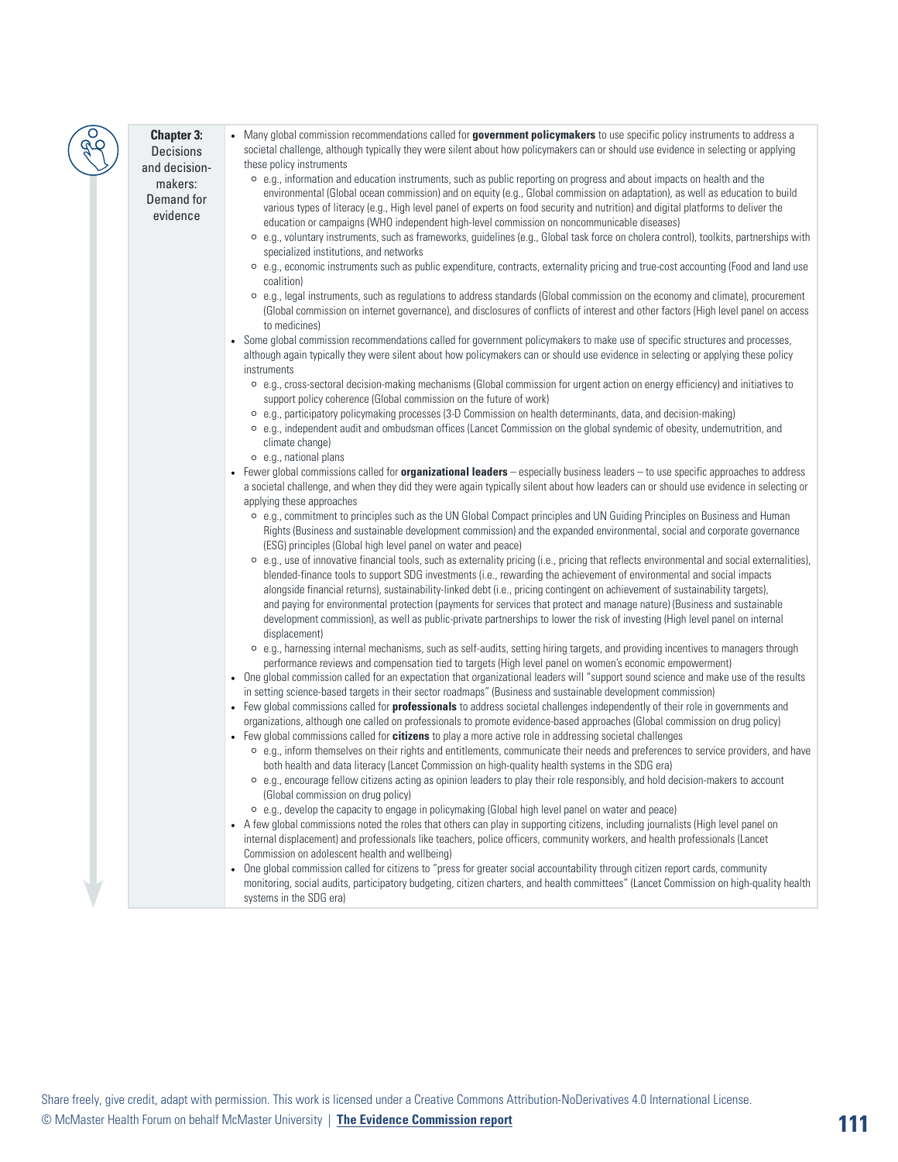## **Chapter 3:**  Decisions and decisionmakers: Demand for

evidence

• Many global commission recommendations called for **government policymakers** to use specific policy instruments to address a societal challenge, although typically they were silent about how policymakers can or should use evidence in selecting or applying these policy instruments

- ⚪ e.g., information and education instruments, such as public reporting on progress and about impacts on health and the environmental (Global ocean commission) and on equity (e.g., Global commission on adaptation), as well as education to build various types of literacy (e.g., High level panel of experts on food security and nutrition) and digital platforms to deliver the education or campaigns (WHO independent high-level commission on noncommunicable diseases)
- ⚪ e.g., voluntary instruments, such as frameworks, guidelines (e.g., Global task force on cholera control), toolkits, partnerships with specialized institutions, and networks
- ⚪ e.g., economic instruments such as public expenditure, contracts, externality pricing and true-cost accounting (Food and land use coalition)
- ⚪ e.g., legal instruments, such as regulations to address standards (Global commission on the economy and climate), procurement (Global commission on internet governance), and disclosures of conflicts of interest and other factors (High level panel on access to medicines)
- Some global commission recommendations called for government policymakers to make use of specific structures and processes, although again typically they were silent about how policymakers can or should use evidence in selecting or applying these policy instruments
	- ⚪ e.g., cross-sectoral decision-making mechanisms (Global commission for urgent action on energy efficiency) and initiatives to support policy coherence (Global commission on the future of work)
	- ⚪ e.g., participatory policymaking processes (3-D Commission on health determinants, data, and decision-making)
	- ⚪ e.g., independent audit and ombudsman offices (Lancet Commission on the global syndemic of obesity, undernutrition, and climate change)
	- ⚪ e.g., national plans
- Fewer global commissions called for **organizational leaders** especially business leaders to use specific approaches to address a societal challenge, and when they did they were again typically silent about how leaders can or should use evidence in selecting or applying these approaches
	- ⚪ e.g., commitment to principles such as the UN Global Compact principles and UN Guiding Principles on Business and Human Rights (Business and sustainable development commission) and the expanded environmental, social and corporate governance (ESG) principles (Global high level panel on water and peace)
	- ⚪ e.g., use of innovative financial tools, such as externality pricing (i.e., pricing that reflects environmental and social externalities), blended-finance tools to support SDG investments (i.e., rewarding the achievement of environmental and social impacts alongside financial returns), sustainability-linked debt (i.e., pricing contingent on achievement of sustainability targets), and paying for environmental protection (payments for services that protect and manage nature) (Business and sustainable development commission), as well as public-private partnerships to lower the risk of investing (High level panel on internal displacement)
	- ⚪ e.g., harnessing internal mechanisms, such as self-audits, setting hiring targets, and providing incentives to managers through performance reviews and compensation tied to targets (High level panel on women's economic empowerment)
- One global commission called for an expectation that organizational leaders will "support sound science and make use of the results in setting science-based targets in their sector roadmaps" (Business and sustainable development commission)
- Few global commissions called for **professionals** to address societal challenges independently of their role in governments and organizations, although one called on professionals to promote evidence-based approaches (Global commission on drug policy)
- Few global commissions called for **citizens** to play a more active role in addressing societal challenges
	- ⚪ e.g., inform themselves on their rights and entitlements, communicate their needs and preferences to service providers, and have both health and data literacy (Lancet Commission on high-quality health systems in the SDG era)
	- ⚪ e.g., encourage fellow citizens acting as opinion leaders to play their role responsibly, and hold decision-makers to account (Global commission on drug policy)
	- ⚪ e.g., develop the capacity to engage in policymaking (Global high level panel on water and peace)
- A few global commissions noted the roles that others can play in supporting citizens, including journalists (High level panel on internal displacement) and professionals like teachers, police officers, community workers, and health professionals (Lancet Commission on adolescent health and wellbeing)
- One global commission called for citizens to "press for greater social accountability through citizen report cards, community monitoring, social audits, participatory budgeting, citizen charters, and health committees" (Lancet Commission on high-quality health systems in the SDG era)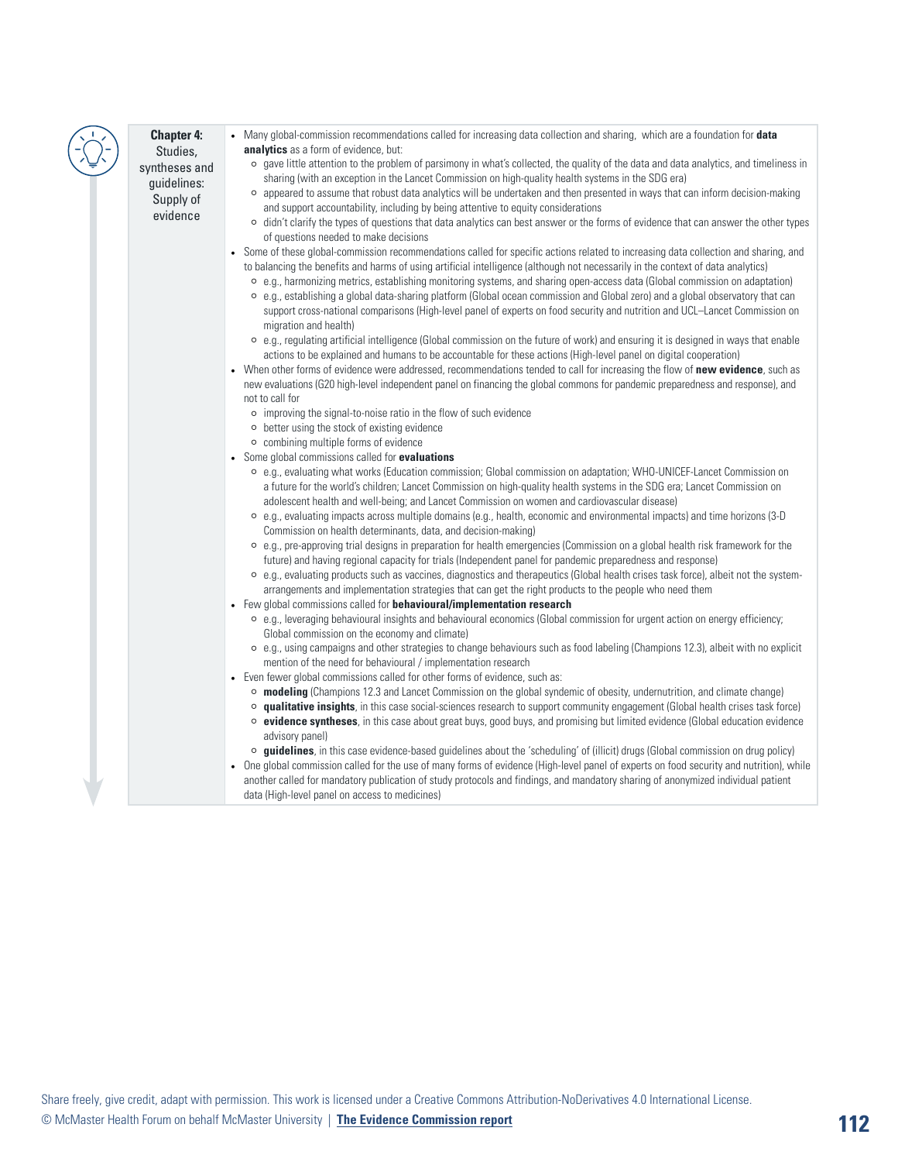## **Chapter 4:** Studies, syntheses and guidelines: Supply of

evidence

- Many global-commission recommendations called for increasing data collection and sharing, which are a foundation for **data analytics** as a form of evidence, but:
	- ⚪ gave little attention to the problem of parsimony in what's collected, the quality of the data and data analytics, and timeliness in sharing (with an exception in the Lancet Commission on high-quality health systems in the SDG era)
	- ⚪ appeared to assume that robust data analytics will be undertaken and then presented in ways that can inform decision-making and support accountability, including by being attentive to equity considerations
	- ⚪ didn't clarify the types of questions that data analytics can best answer or the forms of evidence that can answer the other types of questions needed to make decisions
- Some of these global-commission recommendations called for specific actions related to increasing data collection and sharing, and to balancing the benefits and harms of using artificial intelligence (although not necessarily in the context of data analytics)
	- ⚪ e.g., harmonizing metrics, establishing monitoring systems, and sharing open-access data (Global commission on adaptation) ⚪ e.g., establishing a global data-sharing platform (Global ocean commission and Global zero) and a global observatory that can
		- support cross-national comparisons (High-level panel of experts on food security and nutrition and UCL–Lancet Commission on migration and health)
	- ⚪ e.g., regulating artificial intelligence (Global commission on the future of work) and ensuring it is designed in ways that enable actions to be explained and humans to be accountable for these actions (High-level panel on digital cooperation)
- When other forms of evidence were addressed, recommendations tended to call for increasing the flow of **new evidence**, such as new evaluations (G20 high-level independent panel on financing the global commons for pandemic preparedness and response), and not to call for
	- ⚪ improving the signal-to-noise ratio in the flow of such evidence
	- ⚪ better using the stock of existing evidence
	- ⚪ combining multiple forms of evidence
- Some global commissions called for **evaluations**
	- ⚪ e.g., evaluating what works (Education commission; Global commission on adaptation; WHO-UNICEF-Lancet Commission on a future for the world's children; Lancet Commission on high-quality health systems in the SDG era; Lancet Commission on adolescent health and well-being; and Lancet Commission on women and cardiovascular disease)
	- ⚪ e.g., evaluating impacts across multiple domains (e.g., health, economic and environmental impacts) and time horizons (3-D Commission on health determinants, data, and decision-making)
	- ⚪ e.g., pre-approving trial designs in preparation for health emergencies (Commission on a global health risk framework for the future) and having regional capacity for trials (Independent panel for pandemic preparedness and response)
	- ⚪ e.g., evaluating products such as vaccines, diagnostics and therapeutics (Global health crises task force), albeit not the systemarrangements and implementation strategies that can get the right products to the people who need them
- Few global commissions called for **behavioural/implementation research**
	- ⚪ e.g., leveraging behavioural insights and behavioural economics (Global commission for urgent action on energy efficiency; Global commission on the economy and climate)
	- ⚪ e.g., using campaigns and other strategies to change behaviours such as food labeling (Champions 12.3), albeit with no explicit mention of the need for behavioural / implementation research
- Even fewer global commissions called for other forms of evidence, such as:
	- ⚪ **modeling** (Champions 12.3 and Lancet Commission on the global syndemic of obesity, undernutrition, and climate change)
	- ⚪ **qualitative insights**, in this case social-sciences research to support community engagement (Global health crises task force) ⚪ **evidence syntheses**, in this case about great buys, good buys, and promising but limited evidence (Global education evidence
	- advisory panel)
	- ⚪ **guidelines**, in this case evidence-based guidelines about the 'scheduling' of (illicit) drugs (Global commission on drug policy)
- One global commission called for the use of many forms of evidence (High-level panel of experts on food security and nutrition), while another called for mandatory publication of study protocols and findings, and mandatory sharing of anonymized individual patient data (High-level panel on access to medicines)